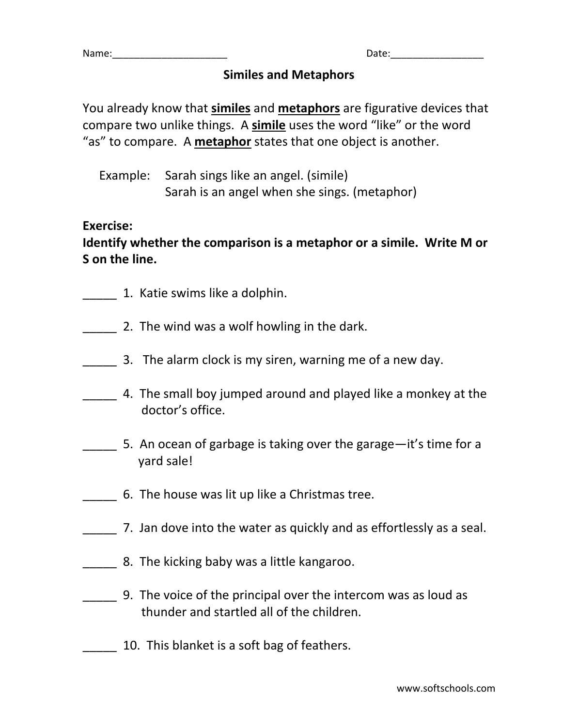| Name: | つっもへ・<br>Udll. |
|-------|----------------|
|       |                |

#### **Similes and Metaphors**

You already know that **similes** and **metaphors** are figurative devices that compare two unlike things. A **simile** uses the word "like" or the word "as" to compare. A **metaphor** states that one object is another.

Example: Sarah sings like an angel. (simile) Sarah is an angel when she sings. (metaphor)

#### **Exercise:**

## **Identify whether the comparison is a metaphor or a simile. Write M or S on the line.**

- \_\_\_\_\_ 1. Katie swims like a dolphin.
- 2. The wind was a wolf howling in the dark.
- \_\_\_\_\_ 3. The alarm clock is my siren, warning me of a new day.
- \_\_\_\_\_ 4. The small boy jumped around and played like a monkey at the doctor's office.
- \_\_\_\_\_ 5. An ocean of garbage is taking over the garage—it's time for a yard sale!
- \_\_\_\_\_ 6. The house was lit up like a Christmas tree.
- 7. Jan dove into the water as quickly and as effortlessly as a seal.
- \_\_\_\_\_ 8. The kicking baby was a little kangaroo.
- \_\_\_\_\_ 9. The voice of the principal over the intercom was as loud as thunder and startled all of the children.
- \_\_\_\_\_ 10. This blanket is a soft bag of feathers.